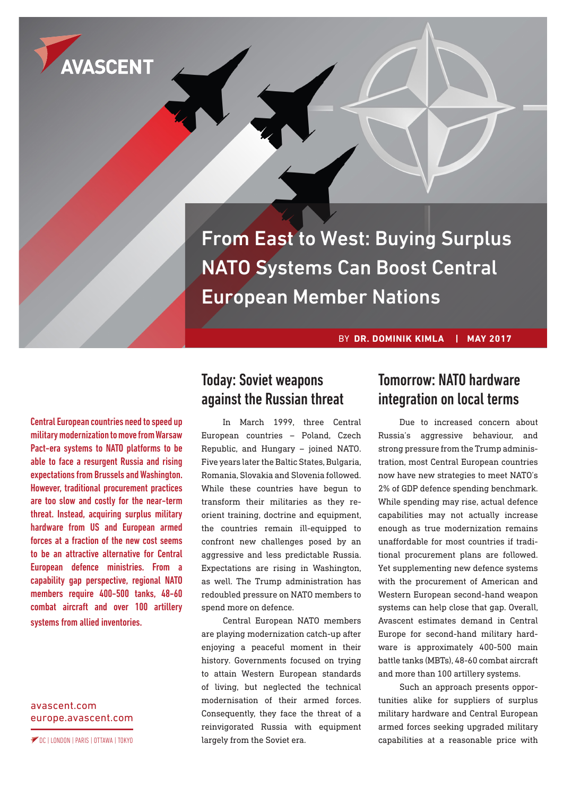

From East to West: Buying Surplus NATO Systems Can Boost Central European Member Nations

BY **DR. DOMINIK KIMLA | MAY 2017**

Central European countries need to speed up military modernization to move from Warsaw Pact-era systems to NATO platforms to be able to face a resurgent Russia and rising expectations from Brussels and Washington. However, traditional procurement practices are too slow and costly for the near-term threat. Instead, acquiring surplus military hardware from US and European armed forces at a fraction of the new cost seems to be an attractive alternative for Central European defence ministries. From a capability gap perspective, regional NATO members require 400-500 tanks, 48-60 combat aircraft and over 100 artillery systems from allied inventories.

[avascent.com](http://avascent.com) [europe.avascent.com](http://europe.avascent.com)

DC | LONDON | PARIS | OTTAWA | TOKYO

# Today: Soviet weapons against the Russian threat

In March 1999, three Central European countries – Poland, Czech Republic, and Hungary – joined NATO. Five years later the Baltic States, Bulgaria, Romania, Slovakia and Slovenia followed. While these countries have begun to transform their militaries as they reorient training, doctrine and equipment, the countries remain ill-equipped to confront new challenges posed by an aggressive and less predictable Russia. Expectations are rising in Washington, as well. The Trump administration has redoubled pressure on NATO members to spend more on defence.

Central European NATO members are playing modernization catch-up after enjoying a peaceful moment in their history. Governments focused on trying to attain Western European standards of living, but neglected the technical modernisation of their armed forces. Consequently, they face the threat of a reinvigorated Russia with equipment largely from the Soviet era.

# Tomorrow: NATO hardware integration on local terms

Due to increased concern about Russia's aggressive behaviour, and strong pressure from the Trump administration, most Central European countries now have new strategies to meet NATO's 2% of GDP defence spending benchmark. While spending may rise, actual defence capabilities may not actually increase enough as true modernization remains unaffordable for most countries if traditional procurement plans are followed. Yet supplementing new defence systems with the procurement of American and Western European second-hand weapon systems can help close that gap. Overall, Avascent estimates demand in Central Europe for second-hand military hardware is approximately 400-500 main battle tanks (MBTs), 48-60 combat aircraft and more than 100 artillery systems.

Such an approach presents opportunities alike for suppliers of surplus military hardware and Central European armed forces seeking upgraded military capabilities at a reasonable price with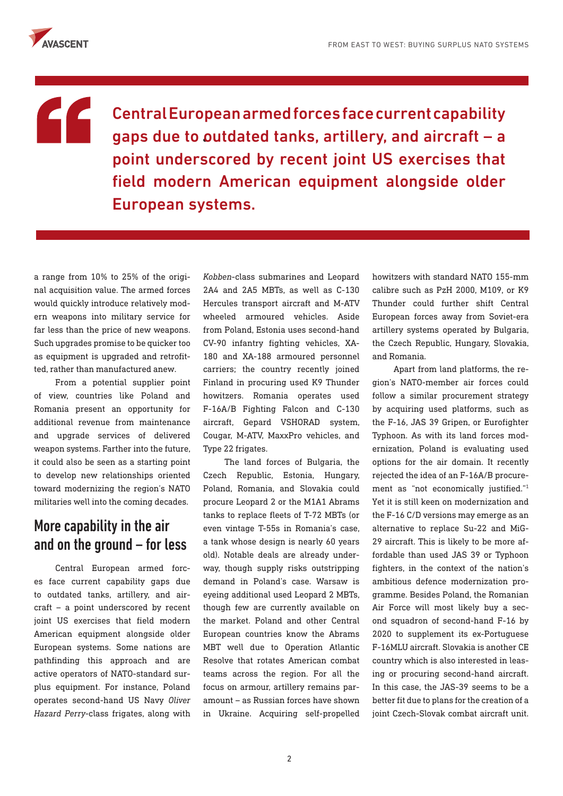

# "

Central European armed forces face current capability gaps due to outdated tanks, artillery, and aircraft – a point underscored by recent joint US exercises that field modern American equipment alongside older European systems.

a range from 10% to 25% of the original acquisition value. The armed forces would quickly introduce relatively modern weapons into military service for far less than the price of new weapons. Such upgrades promise to be quicker too as equipment is upgraded and retrofitted, rather than manufactured anew.

From a potential supplier point of view, countries like Poland and Romania present an opportunity for additional revenue from maintenance and upgrade services of delivered weapon systems. Farther into the future, it could also be seen as a starting point to develop new relationships oriented toward modernizing the region's NATO militaries well into the coming decades.

# More capability in the air and on the ground – for less

Central European armed forces face current capability gaps due to outdated tanks, artillery, and aircraft – a point underscored by recent joint US exercises that field modern American equipment alongside older European systems. Some nations are pathfinding this approach and are active operators of NATO-standard surplus equipment. For instance, Poland operates second-hand US Navy *Oliver Hazard Perry*-class frigates, along with

*Kobben*-class submarines and Leopard 2A4 and 2A5 MBTs, as well as C-130 Hercules transport aircraft and M-ATV wheeled armoured vehicles. Aside from Poland, Estonia uses second-hand CV-90 infantry fighting vehicles, XA-180 and XA-188 armoured personnel carriers; the country recently joined Finland in procuring used K9 Thunder howitzers. Romania operates used F-16A/B Fighting Falcon and C-130 aircraft, Gepard VSHORAD system, Cougar, M-ATV, MaxxPro vehicles, and Type 22 frigates.

The land forces of Bulgaria, the Czech Republic, Estonia, Hungary, Poland, Romania, and Slovakia could procure Leopard 2 or the M1A1 Abrams tanks to replace fleets of T-72 MBTs (or even vintage T-55s in Romania's case, a tank whose design is nearly 60 years old). Notable deals are already underway, though supply risks outstripping demand in Poland's case. Warsaw is eyeing additional used Leopard 2 MBTs, though few are currently available on the market. Poland and other Central European countries know the Abrams MBT well due to Operation Atlantic Resolve that rotates American combat teams across the region. For all the focus on armour, artillery remains paramount – as Russian forces have shown in Ukraine. Acquiring self-propelled howitzers with standard NATO 155-mm calibre such as PzH 2000, M109, or K9 Thunder could further shift Central European forces away from Soviet-era artillery systems operated by Bulgaria, the Czech Republic, Hungary, Slovakia, and Romania.

Apart from land platforms, the region's NATO-member air forces could follow a similar procurement strategy by acquiring used platforms, such as the F-16, JAS 39 Gripen, or Eurofighter Typhoon. As with its land forces modernization, Poland is evaluating used options for the air domain. It recently rejected the idea of an F-16A/B procurement as "not economically justified."1 Yet it is still keen on modernization and the F-16 C/D versions may emerge as an alternative to replace Su-22 and MiG-29 aircraft. This is likely to be more affordable than used JAS 39 or Typhoon fighters, in the context of the nation's ambitious defence modernization programme. Besides Poland, the Romanian Air Force will most likely buy a second squadron of second-hand F-16 by 2020 to supplement its ex-Portuguese F-16MLU aircraft. Slovakia is another CE country which is also interested in leasing or procuring second-hand aircraft. In this case, the JAS-39 seems to be a better fit due to plans for the creation of a joint Czech-Slovak combat aircraft unit.